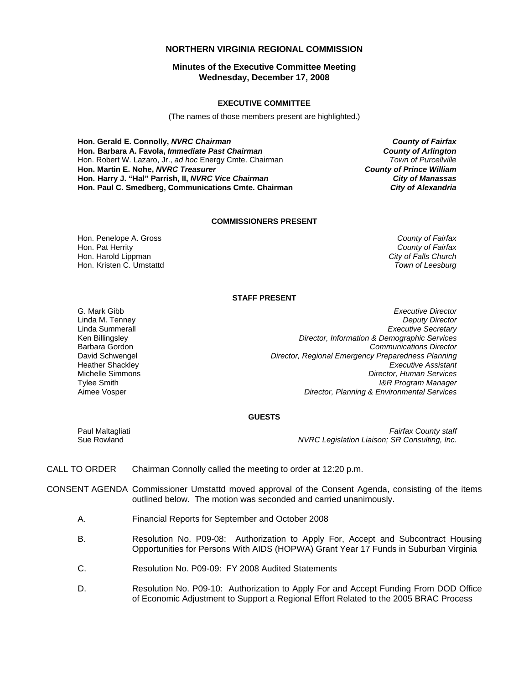# **NORTHERN VIRGINIA REGIONAL COMMISSION**

# **Minutes of the Executive Committee Meeting Wednesday, December 17, 2008**

### **EXECUTIVE COMMITTEE**

(The names of those members present are highlighted.)

**Hon. Gerald E. Connolly,** *NVRC Chairman County of Fairfax* **Hon. Barbara A. Favola,** *Immediate Past Chairman County of Arlington* Hon. Robert W. Lazaro, Jr., *ad hoc* Energy Cmte. Chairman *Town of Purcellville* **Hon. Martin E. Nohe,** *NVRC Treasurer County of Prince William* **Hon. Harry J. "Hal" Parrish, II,** *NVRC Vice Chairman City of Manassas* **Hon. Paul C. Smedberg, Communications Cmte. Chairman** *City of Alexandria*

#### **COMMISSIONERS PRESENT**

Hon. Penelope A. Gross *County of Fairfax* Hon. Pat Herrity *County of Fairfax* Hon. Kristen C. Umstattd

**City of Falls Church<br>Town of Leesburg** 

### **STAFF PRESENT**

Tylee Smith Aimee Vosper

G. Mark Gibb *Executive Director* **Deputy Director** Linda Summerall *Executive Secretary* Ken Billingsley *Director, Information & Demographic Services* Barbara Gordon *Communications Director* David Schwengel *Director, Regional Emergency Preparedness Planning* **Executive Assistant** Michelle Simmons *Director, Human Services I&R Program Manager Director, Planning & Environmental Services*

## **GUESTS**

Paul Maltagliati Sue Rowland

*Fairfax County staff NVRC Legislation Liaison; SR Consulting, Inc.*

- CALL TO ORDER Chairman Connolly called the meeting to order at 12:20 p.m.
- CONSENT AGENDA Commissioner Umstattd moved approval of the Consent Agenda, consisting of the items outlined below. The motion was seconded and carried unanimously.
	- A. Financial Reports for September and October 2008
	- B. Resolution No. P09-08: Authorization to Apply For, Accept and Subcontract Housing Opportunities for Persons With AIDS (HOPWA) Grant Year 17 Funds in Suburban Virginia
	- C. Resolution No. P09-09: FY 2008 Audited Statements
	- D. Resolution No. P09-10: Authorization to Apply For and Accept Funding From DOD Office of Economic Adjustment to Support a Regional Effort Related to the 2005 BRAC Process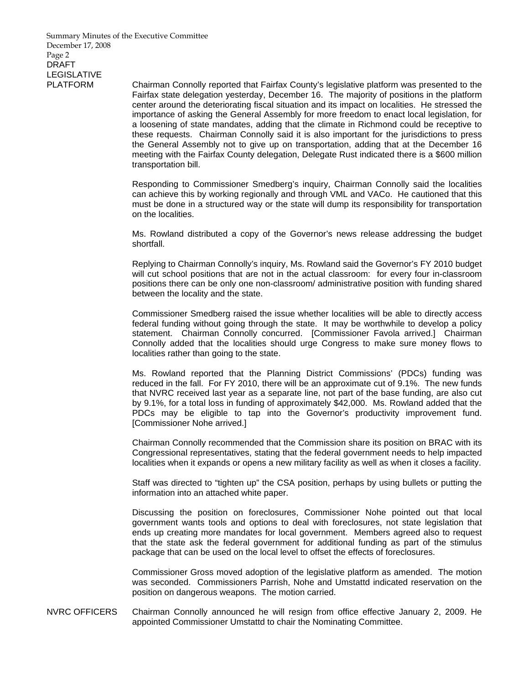Summary Minutes of the Executive Committee December 17, 2008 Page 2 DRAFT LEGISLATIVE

PLATFORM Chairman Connolly reported that Fairfax County's legislative platform was presented to the Fairfax state delegation yesterday, December 16. The majority of positions in the platform center around the deteriorating fiscal situation and its impact on localities. He stressed the importance of asking the General Assembly for more freedom to enact local legislation, for a loosening of state mandates, adding that the climate in Richmond could be receptive to these requests. Chairman Connolly said it is also important for the jurisdictions to press the General Assembly not to give up on transportation, adding that at the December 16 meeting with the Fairfax County delegation, Delegate Rust indicated there is a \$600 million transportation bill.

> Responding to Commissioner Smedberg's inquiry, Chairman Connolly said the localities can achieve this by working regionally and through VML and VACo. He cautioned that this must be done in a structured way or the state will dump its responsibility for transportation on the localities.

> Ms. Rowland distributed a copy of the Governor's news release addressing the budget shortfall.

> Replying to Chairman Connolly's inquiry, Ms. Rowland said the Governor's FY 2010 budget will cut school positions that are not in the actual classroom: for every four in-classroom positions there can be only one non-classroom/ administrative position with funding shared between the locality and the state.

> Commissioner Smedberg raised the issue whether localities will be able to directly access federal funding without going through the state. It may be worthwhile to develop a policy statement. Chairman Connolly concurred. [Commissioner Favola arrived.] Chairman Connolly added that the localities should urge Congress to make sure money flows to localities rather than going to the state.

> Ms. Rowland reported that the Planning District Commissions' (PDCs) funding was reduced in the fall. For FY 2010, there will be an approximate cut of 9.1%. The new funds that NVRC received last year as a separate line, not part of the base funding, are also cut by 9.1%, for a total loss in funding of approximately \$42,000. Ms. Rowland added that the PDCs may be eligible to tap into the Governor's productivity improvement fund. [Commissioner Nohe arrived.]

> Chairman Connolly recommended that the Commission share its position on BRAC with its Congressional representatives, stating that the federal government needs to help impacted localities when it expands or opens a new military facility as well as when it closes a facility.

> Staff was directed to "tighten up" the CSA position, perhaps by using bullets or putting the information into an attached white paper.

> Discussing the position on foreclosures, Commissioner Nohe pointed out that local government wants tools and options to deal with foreclosures, not state legislation that ends up creating more mandates for local government. Members agreed also to request that the state ask the federal government for additional funding as part of the stimulus package that can be used on the local level to offset the effects of foreclosures.

> Commissioner Gross moved adoption of the legislative platform as amended. The motion was seconded. Commissioners Parrish, Nohe and Umstattd indicated reservation on the position on dangerous weapons. The motion carried.

NVRC OFFICERS Chairman Connolly announced he will resign from office effective January 2, 2009. He appointed Commissioner Umstattd to chair the Nominating Committee.